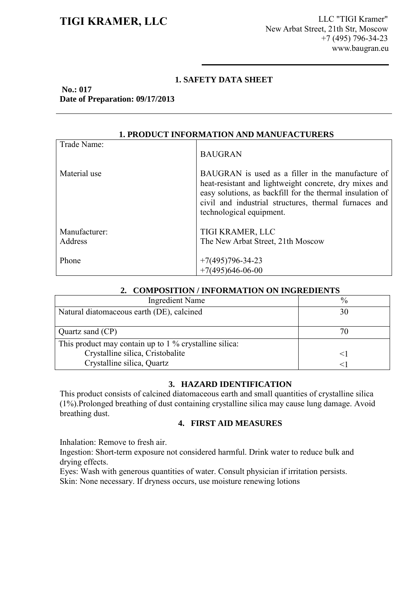**TIGI KRAMER, LLC** LLC LLC LLC TIGI Kramer" New Arbat Street, 21th Str, Moscow +7 (495) 796-34-23 www.baugran.eu

#### **1. SAFETY DATA SHEET**

**No.: 017 Date of Preparation: 09/17/2013**

| <b>1. PRODUCT INFORMATION AND MANUFACTURERS</b> |                                                                                                                                                                                                                                                               |  |
|-------------------------------------------------|---------------------------------------------------------------------------------------------------------------------------------------------------------------------------------------------------------------------------------------------------------------|--|
| Trade Name:                                     | <b>BAUGRAN</b>                                                                                                                                                                                                                                                |  |
| Material use                                    | BAUGRAN is used as a filler in the manufacture of<br>heat-resistant and lightweight concrete, dry mixes and<br>easy solutions, as backfill for the thermal insulation of<br>civil and industrial structures, thermal furnaces and<br>technological equipment. |  |
| Manufacturer:<br>Address                        | TIGI KRAMER, LLC<br>The New Arbat Street, 21th Moscow                                                                                                                                                                                                         |  |
| Phone                                           | $+7(495)796 - 34 - 23$<br>$+7(495)646-06-00$                                                                                                                                                                                                                  |  |

# **1. PRODUCT INFORMATION AND MANUFACTURERS**

#### **2. COMPOSITION / INFORMATION ON INGREDIENTS**

| Ingredient Name                                        | $\frac{0}{0}$ |
|--------------------------------------------------------|---------------|
| Natural diatomaceous earth (DE), calcined              | 30            |
|                                                        |               |
| Quartz sand $(CP)$                                     |               |
| This product may contain up to 1 % crystalline silica: |               |
| Crystalline silica, Cristobalite                       |               |
| Crystalline silica, Quartz                             |               |

#### **3. HAZARD IDENTIFICATION**

This product consists of calcined diatomaceous earth and small quantities of crystalline silica (1%).Prolonged breathing of dust containing crystalline silica may cause lung damage. Avoid breathing dust.

## **4. FIRST AID MEASURES**

Inhalation: Remove to fresh air.

Ingestion: Short-term exposure not considered harmful. Drink water to reduce bulk and drying effects.

Eyes: Wash with generous quantities of water. Consult physician if irritation persists.

Skin: None necessary. If dryness occurs, use moisture renewing lotions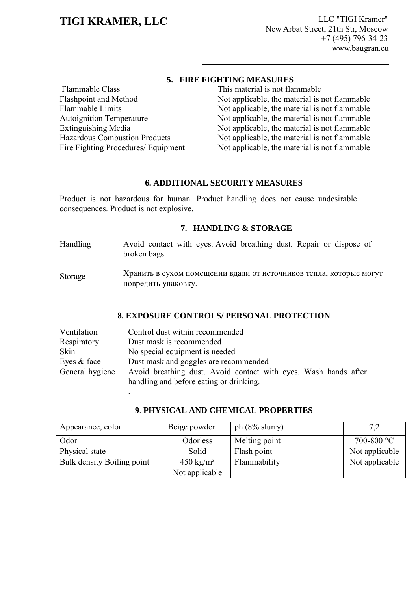**TIGI KRAMER, LLC** LLC LLC TIGI Kramer" New Arbat Street, 21th Str, Moscow +7 (495) 796-34-23 www.baugran.eu

## **5. FIRE FIGHTING MEASURES**

Flammable Class Flashpoint and Method Flammable Limits Autoignition Temperature Extinguishing Media Hazardous Combustion Products Fire Fighting Procedures/ Equipment

.

This material is not flammable Not applicable, the material is not flammable Not applicable, the material is not flammable Not applicable, the material is not flammable Not applicable, the material is not flammable Not applicable, the material is not flammable Not applicable, the material is not flammable

### **6. ADDITIONAL SECURITY MEASURES**

Product is not hazardous for human. Product handling does not cause undesirable consequences. Product is not explosive.

### **7. HANDLING & STORAGE**

- Handling Avoid contact with eyes. Avoid breathing dust. Repair or dispose of broken bags.
- Storage Хранить в сухом помещении вдали от источников тепла, которые могут повредить упаковку.

#### **8. EXPOSURE CONTROLS/ PERSONAL PROTECTION**

| Ventilation     | Control dust within recommended                                 |
|-----------------|-----------------------------------------------------------------|
| Respiratory     | Dust mask is recommended                                        |
| Skin            | No special equipment is needed                                  |
| Eyes & face     | Dust mask and goggles are recommended                           |
| General hygiene | Avoid breathing dust. Avoid contact with eyes. Wash hands after |
|                 | handling and before eating or drinking.                         |

| Appearance, color          | Beige powder         | ph $(8\%$ slurry) | 7,2            |
|----------------------------|----------------------|-------------------|----------------|
| Odor                       | Odorless             | Melting point     | 700-800 °C     |
| Physical state             | Solid                | Flash point       | Not applicable |
| Bulk density Boiling point | $450 \text{ kg/m}^3$ | Flammability      | Not applicable |
|                            | Not applicable       |                   |                |

#### **9**. **PHYSICAL AND CHEMICAL PROPERTIES**